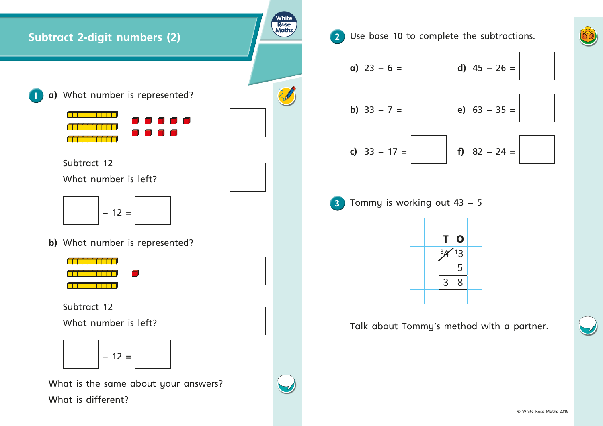











## Talk about Tommy's method with a partner.